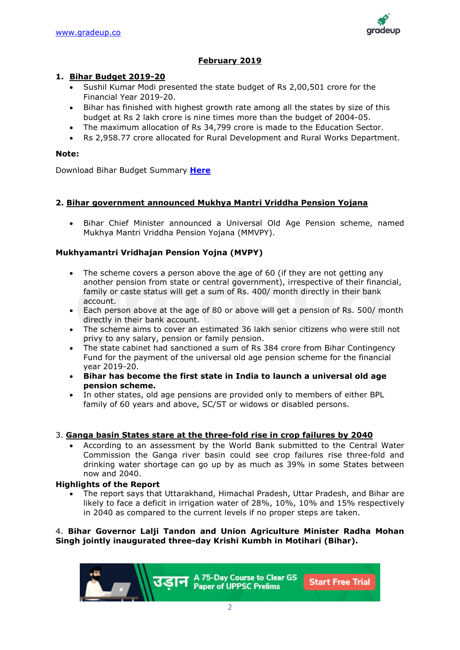

# **February 2019**

# **1. Bihar Budget 2019-20**

- Sushil Kumar Modi presented the state budget of Rs 2,00,501 crore for the Financial Year 2019-20.
- Bihar has finished with highest growth rate among all the states by size of this budget at Rs 2 lakh crore is nine times more than the budget of 2004-05.
- The maximum allocation of Rs 34,799 crore is made to the Education Sector.
- Rs 2,958.77 crore allocated for Rural Development and Rural Works Department.

# **Note:**

Download Bihar Budget Summary **[Here](http://finance.bih.nic.in/Budget/Budget-Summary.pdf)**

# **2. Bihar government announced Mukhya Mantri Vriddha Pension Yojana**

• Bihar Chief Minister announced a Universal Old Age Pension scheme, named Mukhya Mantri Vriddha Pension Yojana (MMVPY).

# **Mukhyamantri Vridhajan Pension Yojna (MVPY)**

- The scheme covers a person above the age of 60 (if they are not getting any another pension from state or central government), irrespective of their financial, family or caste status will get a sum of Rs. 400/ month directly in their bank account.
- Each person above at the age of 80 or above will get a pension of Rs. 500/ month directly in their bank account.
- The scheme aims to cover an estimated 36 lakh senior citizens who were still not privy to any salary, pension or family pension.
- The state cabinet had sanctioned a sum of Rs 384 crore from Bihar Contingency Fund for the payment of the universal old age pension scheme for the financial year 2019-20.
- **Bihar has become the first state in India to launch a universal old age pension scheme.**
- In other states, old age pensions are provided only to members of either BPL family of 60 years and above, SC/ST or widows or disabled persons.

### 3. **Ganga basin States stare at the three-fold rise in crop failures by 2040**

• According to an assessment by the World Bank submitted to the Central Water Commission the Ganga river basin could see crop failures rise three-fold and drinking water shortage can go up by as much as 39% in some States between now and 2040.

### **Highlights of the Report**

• The report says that Uttarakhand, Himachal Pradesh, Uttar Pradesh, and Bihar are likely to face a deficit in irrigation water of 28%, 10%, 10% and 15% respectively in 2040 as compared to the current levels if no proper steps are taken.

# 4. **Bihar Governor Lalji Tandon and Union Agriculture Minister Radha Mohan Singh jointly inaugurated three-day Krishi Kumbh in Motihari (Bihar).**

A 75-Day Course to Clear GS **Start Free Trial Paper of UPPSC Prelims**